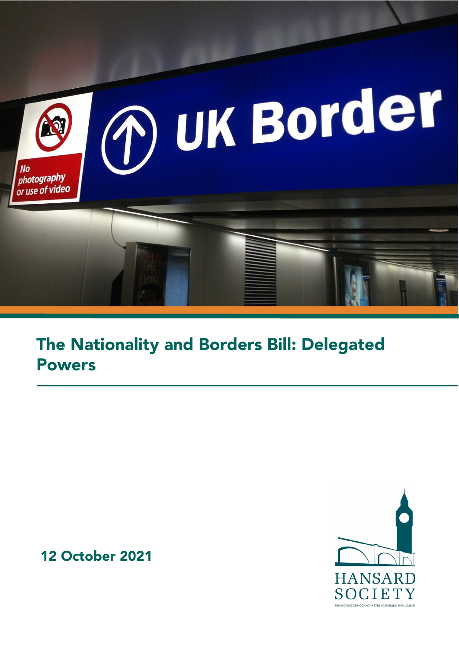

# The Nationality and Borders Bill: Delegated Powers

12 October 2021

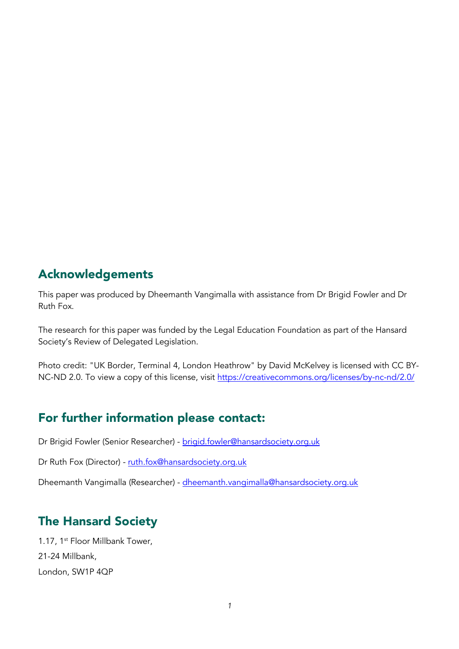### Acknowledgements

This paper was produced by Dheemanth Vangimalla with assistance from Dr Brigid Fowler and Dr Ruth Fox.

The research for this paper was funded by the [Legal Education Foundation](https://www.thelegaleducationfoundation.org/) as part of the Hansard Society's [Review of Delegated Legislation.](https://www.hansardsociety.org.uk/projects/review-of-delegated-legislation)

Photo credit: "UK Border, Terminal 4, London Heathrow" by David McKelvey is licensed with CC BYNC-ND 2.0. To view a copy of this license, visit<https://creativecommons.org/licenses/by-nc-nd/2.0/>

# For further information please contact:

Dr Brigid Fowler (Senior Researcher) - [brigid.fowler@hansardsociety.org.uk](mailto:brigid.fowler@hansardsociety.org.uk)

Dr Ruth Fox (Director) - [ruth.fox@hansardsociety.org.uk](mailto:ruth.fox@hansardsociety.org.uk)

Dheemanth Vangimalla (Researcher) - [dheemanth.vangimalla@hansardsociety.org.uk](mailto:dheemanth.vangimalla@hansardsociety.org.uk)

# The Hansard Society

1.17, 1<sup>st</sup> Floor Millbank Tower, 21-24 Millbank, London, SW1P 4QP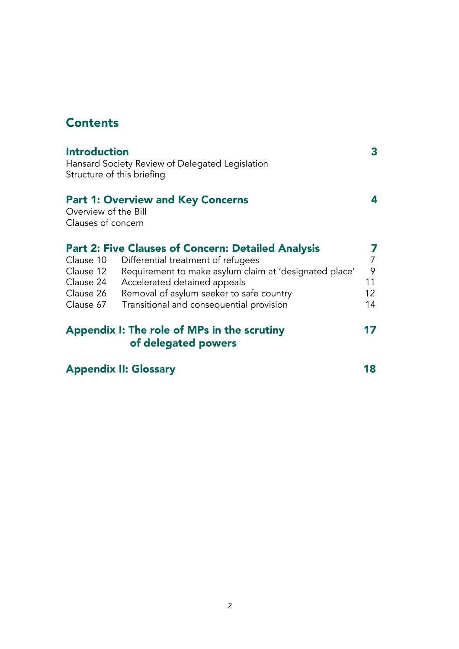# **Contents**

|                                             | of delegated powers<br><b>Appendix II: Glossary</b>       | 18             |
|---------------------------------------------|-----------------------------------------------------------|----------------|
| Appendix I: The role of MPs in the scrutiny |                                                           | 17             |
| Clause 67                                   | Transitional and consequential provision                  | 14             |
| Clause 26                                   | Removal of asylum seeker to safe country                  | 12             |
| Clause 24                                   | Accelerated detained appeals                              | 11             |
| Clause 12                                   | Requirement to make asylum claim at 'designated place'    | 9              |
| Clause 10                                   | Differential treatment of refugees                        | $\overline{7}$ |
|                                             | <b>Part 2: Five Clauses of Concern: Detailed Analysis</b> | 7              |
| Clauses of concern                          |                                                           |                |
| Overview of the Bill                        |                                                           |                |
|                                             | <b>Part 1: Overview and Key Concerns</b>                  | 4              |
|                                             |                                                           |                |
|                                             | Structure of this briefing                                |                |
|                                             | Hansard Society Review of Delegated Legislation           |                |
| <b>Introduction</b>                         |                                                           | 3              |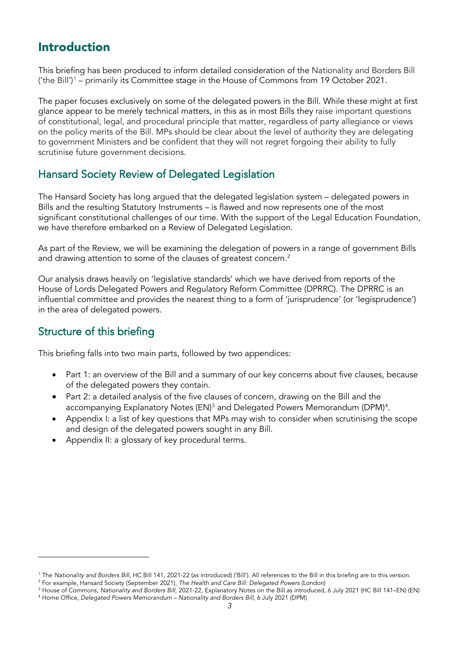# Introduction

This briefing has been produced to inform detailed consideration of the Nationality and Borders Bill ('the Bill')<sup>[1](#page-3-0)</sup> – primarily its Committee stage in the House of Commons from 19 October 2021.

The paper focuses exclusively on some of the delegated powers in the Bill. While these might at first glance appear to be merely technical matters, in this as in most Bills they raise important questions of constitutional, legal, and procedural principle that matter, regardless of party allegiance or views on the policy merits of the Bill. MPs should be clear about the level of authority they are delegating to government Ministers and be confident that they will not regret forgoing their ability to fully scrutinise future government decisions.

### Hansard Society Review of Delegated Legislation

The Hansard Society has long argued that the delegated legislation system – delegated powers in Bills and the resulting Statutory Instruments – is flawed and now represents one of the most significant constitutional challenges of our time. With the support of the Legal Education Foundation, we have therefore embarked on a Review of Delegated Legislation.

As part of the Review, we will be examining the delegation of powers in a range of government Bills and drawing attention to some of the clauses of greatest concern.<sup>[2](#page-3-1)</sup>

Our analysis draws heavily on 'legislative standards' which we have derived from reports of the House of Lords Delegated Powers and Regulatory Reform Committee (DPRRC). The DPRRC is an influential committee and provides the nearest thing to a form of 'jurisprudence' (or 'legisprudence') in the area of delegated powers.

### Structure of this briefing

This briefing falls into two main parts, followed by two appendices:

- Part 1: an overview of the Bill and a summary of our key concerns about five clauses, because of the delegated powers they contain.
- Part 2: a detailed analysis of the five clauses of concern, drawing on the Bill and the accompanying Explanatory Notes (EN)<sup>[3](#page-3-2)</sup> and Delegated Powers Memorandum (DPM)<sup>[4](#page-3-3)</sup>.
- Appendix I: a list of key questions that MPs may wish to consider when scrutinising the scope and design of the delegated powers sought in any Bill.
- Appendix II: a glossary of key procedural terms.

<span id="page-3-0"></span><sup>1</sup> The *Nationality and Borders Bill*, HC Bill 141, 2021-22 (as introduced) ('Bill'). All references to the Bill in this briefing are to this version.

<span id="page-3-1"></span><sup>2</sup> For example, Hansard Society (September 2021), *The Health and Care Bill: Delegated Powers* (London)

<span id="page-3-3"></span><span id="page-3-2"></span><sup>3</sup> House of Commons, *Nationality and Borders Bill,* 2021-22, Explanatory Notes on the Bill as introduced, 6 July 2021 (HC Bill 141–EN) (EN) <sup>4</sup> Home Office, *Delegated Powers Memorandum – Nationality and Borders Bill*, 6 July 2021 (DPM)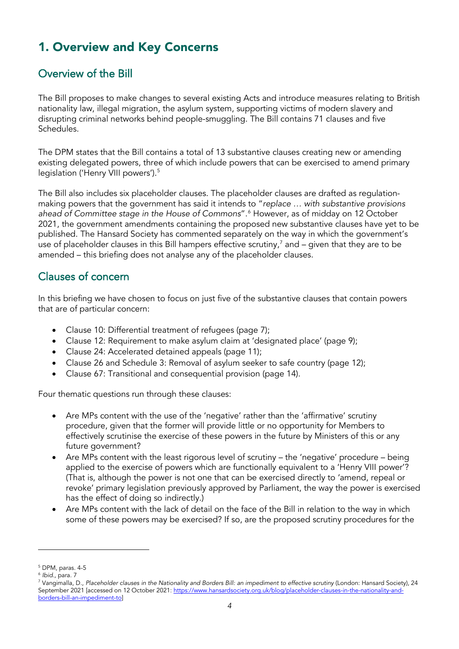# 1. Overview and Key Concerns

### Overview of the Bill

The Bill proposes to make changes to several existing Acts and introduce measures relating to British nationality law, illegal migration, the asylum system, supporting victims of modern slavery and disrupting criminal networks behind people-smuggling. The Bill contains 71 clauses and five Schedules.

The DPM states that the Bill contains a total of 13 substantive clauses creating new or amending existing delegated powers, three of which include powers that can be exercised to amend primary legislation ('Henry VIII powers').<sup>[5](#page-4-0)</sup>

The Bill also includes six placeholder clauses. The placeholder clauses are drafted as regulationmaking powers that the government has said it intends to "*replace … with substantive provisions ahead of Committee stage in the House of Commons*".[6](#page-4-1) However, as of midday on 12 October 2021, the government amendments containing the proposed new substantive clauses have yet to be published. The Hansard Society has commented separately on the way in which the government's use of placeholder clauses in this Bill hampers effective scrutiny, $^7$  $^7$  and – given that they are to be amended – this briefing does not analyse any of the placeholder clauses.

### Clauses of concern

In this briefing we have chosen to focus on just five of the substantive clauses that contain powers that are of particular concern:

- Clause 10: Differential treatment of refugees (page 7);
- Clause 12: Requirement to make asylum claim at 'designated place' (page 9);
- Clause 24: Accelerated detained appeals (page 11);
- Clause 26 and Schedule 3: Removal of asylum seeker to safe country (page 12);
- Clause 67: Transitional and consequential provision (page 14).

Four thematic questions run through these clauses:

- Are MPs content with the use of the 'negative' rather than the 'affirmative' scrutiny procedure, given that the former will provide little or no opportunity for Members to effectively scrutinise the exercise of these powers in the future by Ministers of this or any future government?
- Are MPs content with the least rigorous level of scrutiny the 'negative' procedure being applied to the exercise of powers which are functionally equivalent to a 'Henry VIII power'? (That is, although the power is not one that can be exercised directly to 'amend, repeal or revoke' primary legislation previously approved by Parliament, the way the power is exercised has the effect of doing so indirectly.)
- Are MPs content with the lack of detail on the face of the Bill in relation to the way in which some of these powers may be exercised? If so, are the proposed scrutiny procedures for the

<span id="page-4-0"></span><sup>5</sup> DPM, paras. 4-5

<span id="page-4-1"></span><sup>6</sup> *Ibid.,* para. 7

<span id="page-4-2"></span><sup>7</sup> Vangimalla, D., *Placeholder clauses in the Nationality and Borders Bill: an impediment to effective scrutiny* (London: Hansard Society), 24 September 2021 [accessed on 12 October 2021[: https://www.hansardsociety.org.uk/blog/placeholder-clauses-in-the-nationality-and](https://www.hansardsociety.org.uk/blog/placeholder-clauses-in-the-nationality-and-borders-bill-an-impediment-to)[borders-bill-an-impediment-to\]](https://www.hansardsociety.org.uk/blog/placeholder-clauses-in-the-nationality-and-borders-bill-an-impediment-to)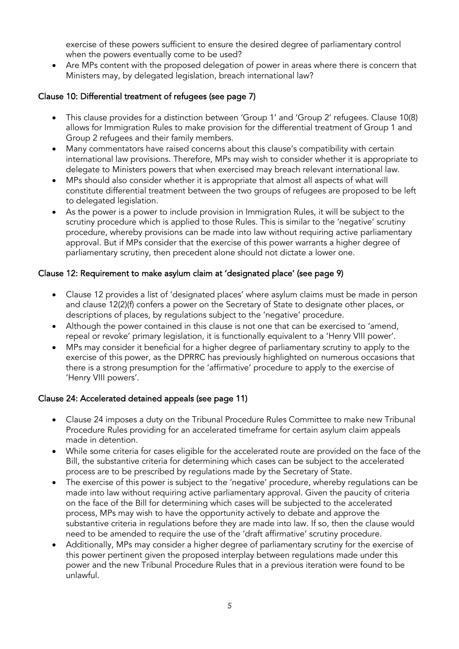exercise of these powers sufficient to ensure the desired degree of parliamentary control when the powers eventually come to be used?

• Are MPs content with the proposed delegation of power in areas where there is concern that Ministers may, by delegated legislation, breach international law?

### Clause 10: Differential treatment of refugees (see page 7)

- This clause provides for a distinction between 'Group 1' and 'Group 2' refugees. Clause 10(8) allows for Immigration Rules to make provision for the differential treatment of Group 1 and Group 2 refugees and their family members.
- Many commentators have raised concerns about this clause's compatibility with certain international law provisions. Therefore, MPs may wish to consider whether it is appropriate to delegate to Ministers powers that when exercised may breach relevant international law.
- MPs should also consider whether it is appropriate that almost all aspects of what will constitute differential treatment between the two groups of refugees are proposed to be left to delegated legislation.
- As the power is a power to include provision in Immigration Rules, it will be subject to the scrutiny procedure which is applied to those Rules. This is similar to the 'negative' scrutiny procedure, whereby provisions can be made into law without requiring active parliamentary approval. But if MPs consider that the exercise of this power warrants a higher degree of parliamentary scrutiny, then precedent alone should not dictate a lower one.

#### Clause 12: Requirement to make asylum claim at 'designated place' (see page 9)

- Clause 12 provides a list of 'designated places' where asylum claims must be made in person and clause 12(2)(f) confers a power on the Secretary of State to designate other places, or descriptions of places, by regulations subject to the 'negative' procedure.
- Although the power contained in this clause is not one that can be exercised to 'amend, repeal or revoke' primary legislation, it is functionally equivalent to a 'Henry VIII power'.
- MPs may consider it beneficial for a higher degree of parliamentary scrutiny to apply to the exercise of this power, as the DPRRC has previously highlighted on numerous occasions that there is a strong presumption for the 'affirmative' procedure to apply to the exercise of 'Henry VIII powers'.

#### Clause 24: Accelerated detained appeals (see page 11)

- Clause 24 imposes a duty on the Tribunal Procedure Rules Committee to make new Tribunal Procedure Rules providing for an accelerated timeframe for certain asylum claim appeals made in detention.
- While some criteria for cases eligible for the accelerated route are provided on the face of the Bill, the substantive criteria for determining which cases can be subject to the accelerated process are to be prescribed by regulations made by the Secretary of State.
- The exercise of this power is subject to the 'negative' procedure, whereby regulations can be made into law without requiring active parliamentary approval. Given the paucity of criteria on the face of the Bill for determining which cases will be subjected to the accelerated process, MPs may wish to have the opportunity actively to debate and approve the substantive criteria in regulations before they are made into law. If so, then the clause would need to be amended to require the use of the 'draft affirmative' scrutiny procedure.
- Additionally, MPs may consider a higher degree of parliamentary scrutiny for the exercise of this power pertinent given the proposed interplay between regulations made under this power and the new Tribunal Procedure Rules that in a previous iteration were found to be unlawful.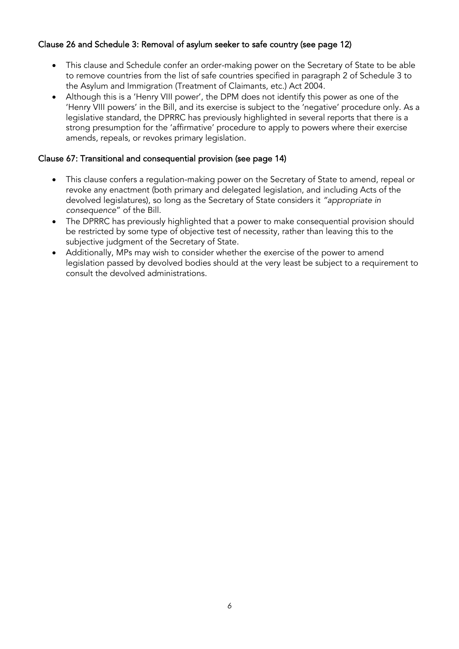### Clause 26 and Schedule 3: Removal of asylum seeker to safe country (see page 12)

- This clause and Schedule confer an order-making power on the Secretary of State to be able to remove countries from the list of safe countries specified in paragraph 2 of Schedule 3 to the Asylum and Immigration (Treatment of Claimants, etc.) Act 2004.
- Although this is a 'Henry VIII power', the DPM does not identify this power as one of the 'Henry VIII powers' in the Bill, and its exercise is subject to the 'negative' procedure only. As a legislative standard, the DPRRC has previously highlighted in several reports that there is a strong presumption for the 'affirmative' procedure to apply to powers where their exercise amends, repeals, or revokes primary legislation.

### Clause 67: Transitional and consequential provision (see page 14)

- This clause confers a regulation-making power on the Secretary of State to amend, repeal or revoke any enactment (both primary and delegated legislation, and including Acts of the devolved legislatures), so long as the Secretary of State considers it *"appropriate in consequence*" of the Bill.
- The DPRRC has previously highlighted that a power to make consequential provision should be restricted by some type of objective test of necessity, rather than leaving this to the subjective judgment of the Secretary of State.
- Additionally, MPs may wish to consider whether the exercise of the power to amend legislation passed by devolved bodies should at the very least be subject to a requirement to consult the devolved administrations.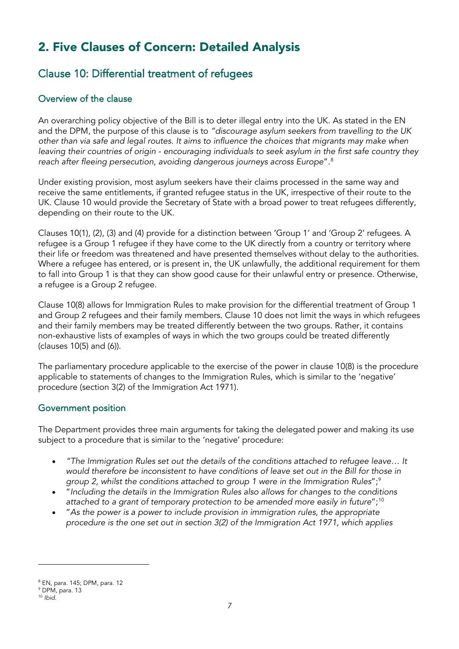# 2. Five Clauses of Concern: Detailed Analysis

### Clause 10: Differential treatment of refugees

### Overview of the clause

An overarching policy objective of the Bill is to deter illegal entry into the UK. As stated in the EN and the DPM, the purpose of this clause is to *"discourage asylum seekers from travelling to the UK other than via safe and legal routes. It aims to influence the choices that migrants may make when leaving their countries of origin - encouraging individuals to seek asylum in the first safe country they reach after fleeing persecution, avoiding dangerous journeys across Europe*". [8](#page-7-0)

Under existing provision, most asylum seekers have their claims processed in the same way and receive the same entitlements, if granted refugee status in the UK, irrespective of their route to the UK. Clause 10 would provide the Secretary of State with a broad power to treat refugees differently, depending on their route to the UK.

Clauses 10(1), (2), (3) and (4) provide for a distinction between 'Group 1' and 'Group 2' refugees. A refugee is a Group 1 refugee if they have come to the UK directly from a country or territory where their life or freedom was threatened and have presented themselves without delay to the authorities. Where a refugee has entered, or is present in, the UK unlawfully, the additional requirement for them to fall into Group 1 is that they can show good cause for their unlawful entry or presence. Otherwise, a refugee is a Group 2 refugee.

Clause 10(8) allows for Immigration Rules to make provision for the differential treatment of Group 1 and Group 2 refugees and their family members. Clause 10 does not limit the ways in which refugees and their family members may be treated differently between the two groups. Rather, it contains non-exhaustive lists of examples of ways in which the two groups could be treated differently (clauses 10(5) and (6)).

The parliamentary procedure applicable to the exercise of the power in clause 10(8) is the procedure applicable to statements of changes to the Immigration Rules, which is similar to the 'negative' procedure (section 3(2) of the Immigration Act 1971).

### Government position

The Department provides three main arguments for taking the delegated power and making its use subject to a procedure that is similar to the 'negative' procedure:

- *"The Immigration Rules set out the details of the conditions attached to refugee leave… It would therefore be inconsistent to have conditions of leave set out in the Bill for those in group 2, whilst the conditions attached to group 1 were in the Immigration Rules*";[9](#page-7-1)
- "*Including the details in the Immigration Rules also allows for changes to the conditions attached to a grant of temporary protection to be amended more easily in future*";[10](#page-7-2)
- "*As the power is a power to include provision in immigration rules, the appropriate procedure is the one set out in section 3(2) of the Immigration Act 1971, which applies*

<span id="page-7-0"></span><sup>8</sup> EN, para. 145; DPM, para. 12

<span id="page-7-1"></span><sup>9</sup> DPM, para. 13

<span id="page-7-2"></span><sup>10</sup> *Ibid.*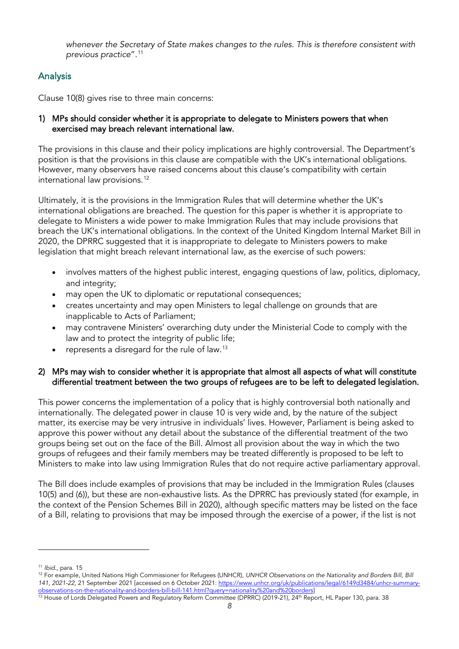*whenever the Secretary of State makes changes to the rules. This is therefore consistent with previous practice*".[11](#page-8-0)

### **Analysis**

Clause 10(8) gives rise to three main concerns:

#### 1) MPs should consider whether it is appropriate to delegate to Ministers powers that when exercised may breach relevant international law.

The provisions in this clause and their policy implications are highly controversial. The Department's position is that the provisions in this clause are compatible with the UK's international obligations. However, many observers have raised concerns about this clause's compatibility with certain international law provisions. [12](#page-8-1)

Ultimately, it is the provisions in the Immigration Rules that will determine whether the UK's international obligations are breached. The question for this paper is whether it is appropriate to delegate to Ministers a wide power to make Immigration Rules that may include provisions that breach the UK's international obligations. In the context of the United Kingdom Internal Market Bill in 2020, the DPRRC suggested that it is inappropriate to delegate to Ministers powers to make legislation that might breach relevant international law, as the exercise of such powers:

- involves matters of the highest public interest, engaging questions of law, politics, diplomacy, and integrity;
- may open the UK to diplomatic or reputational consequences;
- creates uncertainty and may open Ministers to legal challenge on grounds that are inapplicable to Acts of Parliament;
- may contravene Ministers' overarching duty under the Ministerial Code to comply with the law and to protect the integrity of public life;
- represents a disregard for the rule of law.<sup>[13](#page-8-2)</sup>

#### 2) MPs may wish to consider whether it is appropriate that almost all aspects of what will constitute differential treatment between the two groups of refugees are to be left to delegated legislation.

This power concerns the implementation of a policy that is highly controversial both nationally and internationally. The delegated power in clause 10 is very wide and, by the nature of the subject matter, its exercise may be very intrusive in individuals' lives. However, Parliament is being asked to approve this power without any detail about the substance of the differential treatment of the two groups being set out on the face of the Bill. Almost all provision about the way in which the two groups of refugees and their family members may be treated differently is proposed to be left to Ministers to make into law using Immigration Rules that do not require active parliamentary approval.

The Bill does include examples of provisions that may be included in the Immigration Rules (clauses 10(5) and (6)), but these are non-exhaustive lists. As the DPRRC has previously stated (for example, in the context of the Pension Schemes Bill in 2020), although specific matters may be listed on the face of a Bill, relating to provisions that may be imposed through the exercise of a power, if the list is not

<span id="page-8-0"></span><sup>11</sup> *Ibid.,* para. 15

<span id="page-8-1"></span><sup>&</sup>lt;sup>12</sup> For example, United Nations High Commissioner for Refugees (UNHCR), *UNHCR Observations on the Nationality and Borders Bill, Bill 141, 2021-22,* 21 September 2021 [accessed on 6 October 2021[: https://www.unhcr.org/uk/publications/legal/6149d3484/unhcr-summary-](https://www.unhcr.org/uk/publications/legal/6149d3484/unhcr-summary-observations-on-the-nationality-and-borders-bill-bill-141.html?query=nationality%20and%20borders)

<span id="page-8-2"></span>observations-on-the-nationality-and-borders-bill-bill-141.html?query=nationality%20and%20borders]<br><sup>13</sup> House of Lords Delegated Powers and Regulatory Reform Committee (DPRRC) (2019-21), 24<sup>th</sup> Report, HL Paper 130, para. 3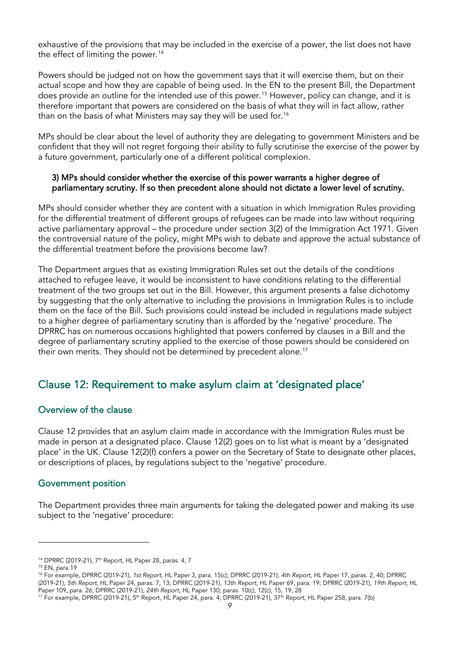exhaustive of the provisions that may be included in the exercise of a power, the list does not have the effect of limiting the power. [14](#page-9-0)

Powers should be judged not on how the government says that it will exercise them, but on their actual scope and how they are capable of being used. In the EN to the present Bill, the Department does provide an outline for the intended use of this power. [15](#page-9-1) However, policy can change, and it is therefore important that powers are considered on the basis of what they will in fact allow, rather than on the basis of what Ministers may say they will be used for.<sup>[16](#page-9-2)</sup>

MPs should be clear about the level of authority they are delegating to government Ministers and be confident that they will not regret forgoing their ability to fully scrutinise the exercise of the power by a future government, particularly one of a different political complexion.

#### 3) MPs should consider whether the exercise of this power warrants a higher degree of parliamentary scrutiny. If so then precedent alone should not dictate a lower level of scrutiny.

MPs should consider whether they are content with a situation in which Immigration Rules providing for the differential treatment of different groups of refugees can be made into law without requiring active parliamentary approval – the procedure under section 3(2) of the Immigration Act 1971. Given the controversial nature of the policy, might MPs wish to debate and approve the actual substance of the differential treatment before the provisions become law?

The Department argues that as existing Immigration Rules set out the details of the conditions attached to refugee leave, it would be inconsistent to have conditions relating to the differential treatment of the two groups set out in the Bill. However, this argument presents a false dichotomy by suggesting that the only alternative to including the provisions in Immigration Rules is to include them on the face of the Bill. Such provisions could instead be included in regulations made subject to a higher degree of parliamentary scrutiny than is afforded by the 'negative' procedure. The DPRRC has on numerous occasions highlighted that powers conferred by clauses in a Bill and the degree of parliamentary scrutiny applied to the exercise of those powers should be considered on their own merits. They should not be determined by precedent alone. [17](#page-9-3)

### Clause 12: Requirement to make asylum claim at 'designated place'

#### Overview of the clause

Clause 12 provides that an asylum claim made in accordance with the Immigration Rules must be made in person at a designated place. Clause 12(2) goes on to list what is meant by a 'designated place' in the UK. Clause 12(2)(f) confers a power on the Secretary of State to designate other places, or descriptions of places, by regulations subject to the 'negative' procedure.

### Government position

The Department provides three main arguments for taking the delegated power and making its use subject to the 'negative' procedure:

<span id="page-9-0"></span><sup>&</sup>lt;sup>14</sup> DPRRC (2019-21), 7<sup>th</sup> Report, HL Paper 28, paras. 4, 7

<sup>15</sup> EN, para.19

<span id="page-9-2"></span><span id="page-9-1"></span><sup>16</sup> For example, DPRRC (2019-21), *1st Report*, HL Paper 3, para. 15(c); DPRRC (2019-21), *4th Report,* HL Paper 17, paras. 2, 40; DPRRC (2019-21), *5th Report*, HL Paper 24, paras. 7, 13; DPRRC (2019-21), *13th Report,* HL Paper 69, para. 19; DPRRC (2019-21), *19th Report,* HL

<span id="page-9-3"></span><sup>&</sup>lt;sup>17</sup> For example, DPRRC (2019-21), 5<sup>th</sup> Report, HL Paper 24, para. 4; DPRRC (2019-21), 37<sup>th</sup> Report, HL Paper 258, para. 7(b)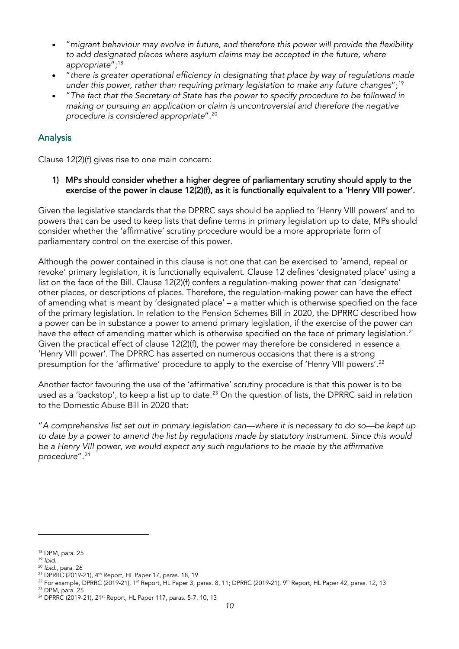- "*migrant behaviour may evolve in future, and therefore this power will provide the flexibility to add designated places where asylum claims may be accepted in the future, where appropriate*";[18](#page-10-0)
- "*there is greater operational efficiency in designating that place by way of regulations made under this power, rather than requiring primary legislation to make any future changes*";[19](#page-10-1)
- "*The fact that the Secretary of State has the power to specify procedure to be followed in making or pursuing an application or claim is uncontroversial and therefore the negative procedure is considered appropriate*".[20](#page-10-2)

### Analysis

Clause 12(2)(f) gives rise to one main concern:

1) MPs should consider whether a higher degree of parliamentary scrutiny should apply to the exercise of the power in clause 12(2)(f), as it is functionally equivalent to a 'Henry VIII power'.

Given the legislative standards that the DPRRC says should be applied to 'Henry VIII powers' and to powers that can be used to keep lists that define terms in primary legislation up to date, MPs should consider whether the 'affirmative' scrutiny procedure would be a more appropriate form of parliamentary control on the exercise of this power.

Although the power contained in this clause is not one that can be exercised to 'amend, repeal or revoke' primary legislation, it is functionally equivalent. Clause 12 defines 'designated place' using a list on the face of the Bill. Clause 12(2)(f) confers a regulation-making power that can 'designate' other places, or descriptions of places. Therefore, the regulation-making power can have the effect of amending what is meant by 'designated place' – a matter which is otherwise specified on the face of the primary legislation. In relation to the Pension Schemes Bill in 2020, the DPRRC described how a power can be in substance a power to amend primary legislation, if the exercise of the power can have the effect of amending matter which is otherwise specified on the face of primary legislation.<sup>[21](#page-10-3)</sup> Given the practical effect of clause 12(2)(f), the power may therefore be considered in essence a 'Henry VIII power'. The DPRRC has asserted on numerous occasions that there is a strong presumption for the 'affirmative' procedure to apply to the exercise of 'Henry VIII powers'.<sup>[22](#page-10-4)</sup>

Another factor favouring the use of the 'affirmative' scrutiny procedure is that this power is to be used as a 'backstop', to keep a list up to date. $^{23}$  $^{23}$  $^{23}$  On the question of lists, the DPRRC said in relation to the Domestic Abuse Bill in 2020 that:

"*A comprehensive list set out in primary legislation can—where it is necessary to do so—be kept up to date by a power to amend the list by regulations made by statutory instrument. Since this would be a Henry VIII power, we would expect any such regulations to be made by the affirmative procedure*".[24](#page-10-6)

<span id="page-10-0"></span><sup>18</sup> DPM, para. 25

<span id="page-10-1"></span><sup>19</sup> *Ibid.*

<span id="page-10-2"></span><sup>20</sup> *Ibid.,* para. 26

<span id="page-10-3"></span><sup>&</sup>lt;sup>21</sup> DPRRC (2019-21), 4<sup>th</sup> Report, HL Paper 17, paras. 18, 19

<span id="page-10-4"></span> $^{22}$  For example, DPRRC (2019-21), 1<sup>st</sup> Report, HL Paper 3, paras. 8, 11; DPRRC (2019-21), 9<sup>th</sup> Report, HL Paper 42, paras. 12, 13

<span id="page-10-5"></span><sup>23</sup> DPM, para. 25

<span id="page-10-6"></span><sup>&</sup>lt;sup>24</sup> DPRRC (2019-21), 21<sup>st</sup> Report, HL Paper 117, paras. 5-7, 10, 13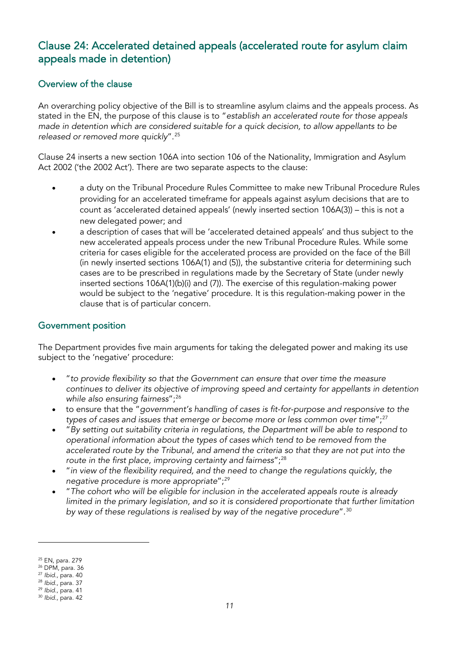### Clause 24: Accelerated detained appeals (accelerated route for asylum claim appeals made in detention)

### Overview of the clause

An overarching policy objective of the Bill is to streamline asylum claims and the appeals process. As stated in the EN, the purpose of this clause is to "*establish an accelerated route for those appeals made in detention which are considered suitable for a quick decision, to allow appellants to be released or removed more quickly*".[25](#page-11-0)

Clause 24 inserts a new section 106A into section 106 of the Nationality, Immigration and Asylum Act 2002 ('the 2002 Act'). There are two separate aspects to the clause:

- a duty on the Tribunal Procedure Rules Committee to make new Tribunal Procedure Rules providing for an accelerated timeframe for appeals against asylum decisions that are to count as 'accelerated detained appeals' (newly inserted section 106A(3)) – this is not a new delegated power; and
- a description of cases that will be 'accelerated detained appeals' and thus subject to the new accelerated appeals process under the new Tribunal Procedure Rules. While some criteria for cases eligible for the accelerated process are provided on the face of the Bill (in newly inserted sections 106A(1) and (5)), the substantive criteria for determining such cases are to be prescribed in regulations made by the Secretary of State (under newly inserted sections 106A(1)(b)(i) and (7)). The exercise of this regulation-making power would be subject to the 'negative' procedure. It is this regulation-making power in the clause that is of particular concern.

### Government position

The Department provides five main arguments for taking the delegated power and making its use subject to the 'negative' procedure:

- "*to provide flexibility so that the Government can ensure that over time the measure continues to deliver its objective of improving speed and certainty for appellants in detention while also ensuring fairness*";[26](#page-11-1)
- to ensure that the "*government's handling of cases is fit-for-purpose and responsive to the*  types of cases and issues that emerge or become more or less common over time";<sup>[27](#page-11-2)</sup>
- "*By setting out suitability criteria in regulations, the Department will be able to respond to operational information about the types of cases which tend to be removed from the accelerated route by the Tribunal, and amend the criteria so that they are not put into the route in the first place, improving certainty and fairness*";[28](#page-11-3)
- "*in view of the flexibility required, and the need to change the regulations quickly, the negative procedure is more appropriate*";[29](#page-11-4)
- "*The cohort who will be eligible for inclusion in the accelerated appeals route is already limited in the primary legislation, and so it is considered proportionate that further limitation by way of these regulations is realised by way of the negative procedure*".[30](#page-11-5)

<span id="page-11-0"></span><sup>25</sup> EN, para. 279

<span id="page-11-1"></span><sup>26</sup> DPM, para. 36

<span id="page-11-2"></span><sup>27</sup> *Ibid.,* para. 40

<span id="page-11-3"></span><sup>28</sup> *Ibid.,* para. 37

<span id="page-11-5"></span><span id="page-11-4"></span><sup>29</sup> *Ibid.,* para. 41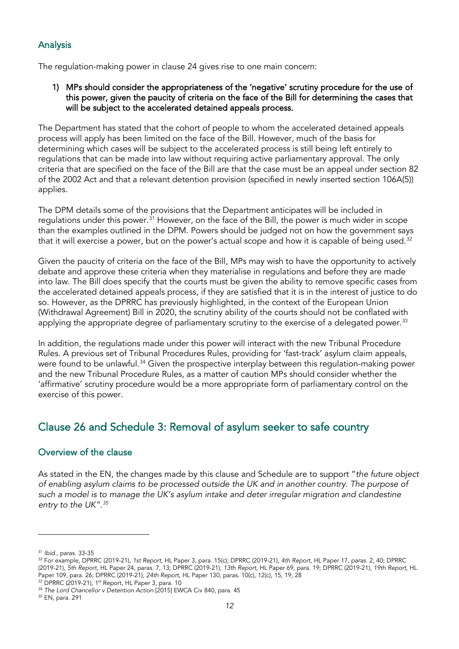### Analysis

The regulation-making power in clause 24 gives rise to one main concern:

#### 1) MPs should consider the appropriateness of the 'negative' scrutiny procedure for the use of this power, given the paucity of criteria on the face of the Bill for determining the cases that will be subject to the accelerated detained appeals process.

The Department has stated that the cohort of people to whom the accelerated detained appeals process will apply has been limited on the face of the Bill. However, much of the basis for determining which cases will be subject to the accelerated process is still being left entirely to regulations that can be made into law without requiring active parliamentary approval. The only criteria that are specified on the face of the Bill are that the case must be an appeal under section 82 of the 2002 Act and that a relevant detention provision (specified in newly inserted section 106A(5)) applies.

The DPM details some of the provisions that the Department anticipates will be included in regulations under this power.<sup>[31](#page-12-0)</sup> However, on the face of the Bill, the power is much wider in scope than the examples outlined in the DPM. Powers should be judged not on how the government says that it will exercise a power, but on the power's actual scope and how it is capable of being used.<sup>[32](#page-12-1)</sup>

Given the paucity of criteria on the face of the Bill, MPs may wish to have the opportunity to actively debate and approve these criteria when they materialise in regulations and before they are made into law. The Bill does specify that the courts must be given the ability to remove specific cases from the accelerated detained appeals process, if they are satisfied that it is in the interest of justice to do so. However, as the DPRRC has previously highlighted, in the context of the European Union (Withdrawal Agreement) Bill in 2020, the scrutiny ability of the courts should not be conflated with applying the appropriate degree of parliamentary scrutiny to the exercise of a delegated power.<sup>[33](#page-12-2)</sup>

In addition, the regulations made under this power will interact with the new Tribunal Procedure Rules. A previous set of Tribunal Procedures Rules, providing for 'fast-track' asylum claim appeals, were found to be unlawful.<sup>[34](#page-12-3)</sup> Given the prospective interplay between this regulation-making power and the new Tribunal Procedure Rules, as a matter of caution MPs should consider whether the 'affirmative' scrutiny procedure would be a more appropriate form of parliamentary control on the exercise of this power.

### Clause 26 and Schedule 3: Removal of asylum seeker to safe country

### Overview of the clause

As stated in the EN, the changes made by this clause and Schedule are to support "*the future object of enabling asylum claims to be processed outside the UK and in another country. The purpose of such a model is to manage the UK's asylum intake and deter irregular migration and clandestine entry to the UK".[35](#page-12-4)*

<span id="page-12-0"></span><sup>31</sup> *Ibid.,* paras. 33-35

<span id="page-12-1"></span><sup>32</sup> For example, DPRRC (2019-21), *1st Report*, HL Paper 3, para. 15(c); DPRRC (2019-21), *4th Report,* HL Paper 17, paras. 2, 40; DPRRC (2019-21), *5th Report*, HL Paper 24, paras. 7, 13; DPRRC (2019-21), *13th Report,* HL Paper 69, para. 19; DPRRC (2019-21), *19th Report,* HL Paper 109, para. 26; DPRRC (2019-21), *24th Report,* HL Paper 130, paras. 10(c), 12(c), 15, 19, 28<br><sup>33</sup> DPRRC (2019-21), 1<sup>st</sup> Report, HL Paper 3, para. 10

<span id="page-12-2"></span>

<span id="page-12-3"></span><sup>34</sup> *The Lord Chancellor v Detention Action* [2015] EWCA Civ 840, para. 45

<span id="page-12-4"></span><sup>35</sup> EN, para. 291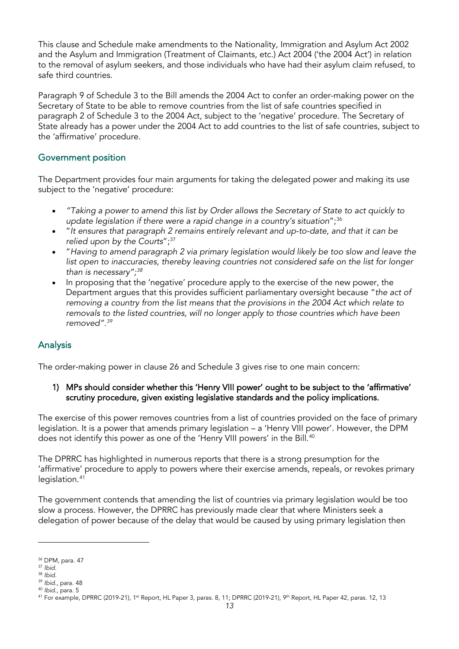This clause and Schedule make amendments to the Nationality, Immigration and Asylum Act 2002 and the Asylum and Immigration (Treatment of Claimants, etc.) Act 2004 ('the 2004 Act') in relation to the removal of asylum seekers, and those individuals who have had their asylum claim refused, to safe third countries.

Paragraph 9 of Schedule 3 to the Bill amends the 2004 Act to confer an order-making power on the Secretary of State to be able to remove countries from the list of safe countries specified in paragraph 2 of Schedule 3 to the 2004 Act, subject to the 'negative' procedure. The Secretary of State already has a power under the 2004 Act to add countries to the list of safe countries, subject to the 'affirmative' procedure.

### Government position

The Department provides four main arguments for taking the delegated power and making its use subject to the 'negative' procedure:

- *"Taking a power to amend this list by Order allows the Secretary of State to act quickly to*  update legislation if there were a rapid change in a country's situation";<sup>[36](#page-13-0)</sup>
- "*It ensures that paragraph 2 remains entirely relevant and up-to-date, and that it can be relied upon by the Courts*";[37](#page-13-1)
- "*Having to amend paragraph 2 via primary legislation would likely be too slow and leave the*  list open to inaccuracies, thereby leaving countries not considered safe on the list for longer *than is necessary";[38](#page-13-2)*
- In proposing that the 'negative' procedure apply to the exercise of the new power, the Department argues that this provides sufficient parliamentary oversight because "*the act of removing a country from the list means that the provisions in the 2004 Act which relate to removals to the listed countries, will no longer apply to those countries which have been removed".[39](#page-13-3)*

### Analysis

The order-making power in clause 26 and Schedule 3 gives rise to one main concern:

1) MPs should consider whether this 'Henry VIII power' ought to be subject to the 'affirmative' scrutiny procedure, given existing legislative standards and the policy implications.

The exercise of this power removes countries from a list of countries provided on the face of primary legislation. It is a power that amends primary legislation – a 'Henry VIII power'. However, the DPM does not identify this power as one of the 'Henry VIII powers' in the Bill.<sup>[40](#page-13-4)</sup>

The DPRRC has highlighted in numerous reports that there is a strong presumption for the 'affirmative' procedure to apply to powers where their exercise amends, repeals, or revokes primary legislation.<sup>[41](#page-13-5)</sup>

The government contends that amending the list of countries via primary legislation would be too slow a process. However, the DPRRC has previously made clear that where Ministers seek a delegation of power because of the delay that would be caused by using primary legislation then

<span id="page-13-0"></span><sup>36</sup> DPM, para. 47

<span id="page-13-1"></span><sup>37</sup> *Ibid.*

<span id="page-13-2"></span><sup>38</sup> *Ibid.*

<span id="page-13-3"></span><sup>39</sup> *Ibid.,* para. 48

<span id="page-13-4"></span><sup>40</sup> *Ibid.,* para. 5

<span id="page-13-5"></span><sup>&</sup>lt;sup>41</sup> For example, DPRRC (2019-21), 1<sup>st</sup> Report, HL Paper 3, paras. 8, 11; DPRRC (2019-21), 9<sup>th</sup> Report, HL Paper 42, paras. 12, 13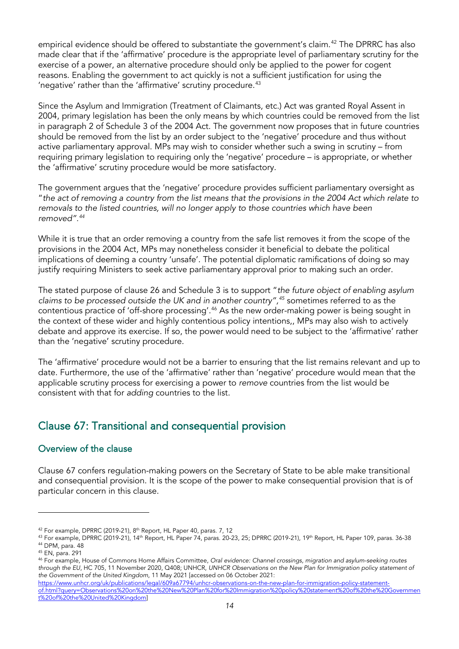empirical evidence should be offered to substantiate the government's claim. [42](#page-14-0) The DPRRC has also made clear that if the 'affirmative' procedure is the appropriate level of parliamentary scrutiny for the exercise of a power, an alternative procedure should only be applied to the power for cogent reasons. Enabling the government to act quickly is not a sufficient justification for using the 'negative' rather than the 'affirmative' scrutiny procedure. [43](#page-14-1)

Since the Asylum and Immigration (Treatment of Claimants, etc.) Act was granted Royal Assent in 2004, primary legislation has been the only means by which countries could be removed from the list in paragraph 2 of Schedule 3 of the 2004 Act. The government now proposes that in future countries should be removed from the list by an order subject to the 'negative' procedure and thus without active parliamentary approval. MPs may wish to consider whether such a swing in scrutiny – from requiring primary legislation to requiring only the 'negative' procedure – is appropriate, or whether the 'affirmative' scrutiny procedure would be more satisfactory.

The government argues that the 'negative' procedure provides sufficient parliamentary oversight as "*the act of removing a country from the list means that the provisions in the 2004 Act which relate to removals to the listed countries, will no longer apply to those countries which have been removed".[44](#page-14-2)*

While it is true that an order removing a country from the safe list removes it from the scope of the provisions in the 2004 Act, MPs may nonetheless consider it beneficial to debate the political implications of deeming a country 'unsafe'. The potential diplomatic ramifications of doing so may justify requiring Ministers to seek active parliamentary approval prior to making such an order.

The stated purpose of clause 26 and Schedule 3 is to support "*the future object of enabling asylum claims to be processed outside the UK and in another country",[45](#page-14-3)* sometimes referred to as the contentious practice of 'off-shore processing'.<sup>[46](#page-14-4)</sup> As the new order-making power is being sought in the context of these wider and highly contentious policy intentions,, MPs may also wish to actively debate and approve its exercise. If so, the power would need to be subject to the 'affirmative' rather than the 'negative' scrutiny procedure.

The 'affirmative' procedure would not be a barrier to ensuring that the list remains relevant and up to date. Furthermore, the use of the 'affirmative' rather than 'negative' procedure would mean that the applicable scrutiny process for exercising a power to *remove* countries from the list would be consistent with that for *adding* countries to the list.

### Clause 67: Transitional and consequential provision

#### Overview of the clause

Clause 67 confers regulation-making powers on the Secretary of State to be able make transitional and consequential provision. It is the scope of the power to make consequential provision that is of particular concern in this clause.

<span id="page-14-0"></span> $42$  For example, DPRRC (2019-21),  $8<sup>th</sup>$  Report, HL Paper 40, paras. 7, 12

<span id="page-14-1"></span><sup>43</sup> For example, DPRRC (2019-21), 14<sup>th</sup> Report, HL Paper 74, paras. 20-23, 25; DPRRC (2019-21), 19<sup>th</sup> Report, HL Paper 109, paras. 36-38 <sup>44</sup> DPM, para. 48

<span id="page-14-3"></span><span id="page-14-2"></span><sup>45</sup> EN, para. 291

<span id="page-14-4"></span><sup>46</sup> For example, House of Commons Home Affairs Committee, *Oral evidence: Channel crossings, migration and asylum-seeking routes through the EU*, HC 705, 11 November 2020, Q408; UNHCR, *UNHCR Observations on the New Plan for Immigration policy statement of the Government of the United Kingdom*, 11 May 2021 [accessed on 06 October 2021:

[https://www.unhcr.org/uk/publications/legal/609a67794/unhcr-observations-on-the-new-plan-for-immigration-policy-statement](https://www.unhcr.org/uk/publications/legal/609a67794/unhcr-observations-on-the-new-plan-for-immigration-policy-statement-of.html?query=Observations%20on%20the%20New%20Plan%20for%20Immigration%20policy%20statement%20of%20the%20Government%20of%20the%20United%20Kingdom)[of.html?query=Observations%20on%20the%20New%20Plan%20for%20Immigration%20policy%20statement%20of%20the%20Governmen](https://www.unhcr.org/uk/publications/legal/609a67794/unhcr-observations-on-the-new-plan-for-immigration-policy-statement-of.html?query=Observations%20on%20the%20New%20Plan%20for%20Immigration%20policy%20statement%20of%20the%20Government%20of%20the%20United%20Kingdom) [t%20of%20the%20United%20Kingdom\]](https://www.unhcr.org/uk/publications/legal/609a67794/unhcr-observations-on-the-new-plan-for-immigration-policy-statement-of.html?query=Observations%20on%20the%20New%20Plan%20for%20Immigration%20policy%20statement%20of%20the%20Government%20of%20the%20United%20Kingdom)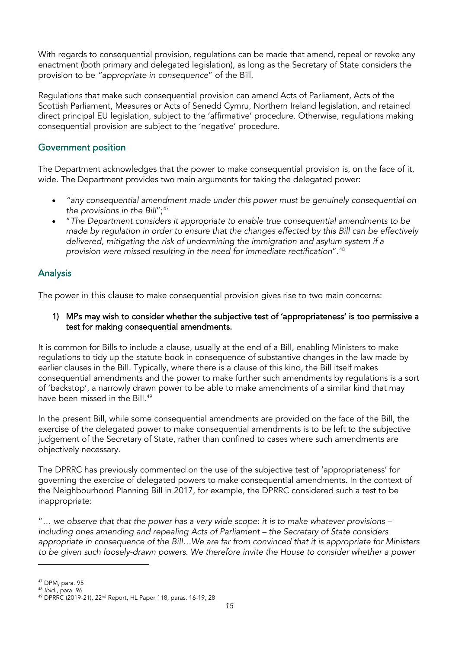With regards to consequential provision, regulations can be made that amend, repeal or revoke any enactment (both primary and delegated legislation), as long as the Secretary of State considers the provision to be *"appropriate in consequence*" of the Bill.

Regulations that make such consequential provision can amend Acts of Parliament, Acts of the Scottish Parliament, Measures or Acts of Senedd Cymru, Northern Ireland legislation, and retained direct principal EU legislation, subject to the 'affirmative' procedure. Otherwise, regulations making consequential provision are subject to the 'negative' procedure.

### Government position

The Department acknowledges that the power to make consequential provision is, on the face of it, wide. The Department provides two main arguments for taking the delegated power:

- *"any consequential amendment made under this power must be genuinely consequential on*  the provisions in the Bill";<sup>[47](#page-15-0)</sup>
- "*The Department considers it appropriate to enable true consequential amendments to be made by regulation in order to ensure that the changes effected by this Bill can be effectively delivered, mitigating the risk of undermining the immigration and asylum system if a provision were missed resulting in the need for immediate rectification*".[48](#page-15-1)

### Analysis

The power in this clause to make consequential provision gives rise to two main concerns:

1) MPs may wish to consider whether the subjective test of 'appropriateness' is too permissive a test for making consequential amendments.

It is common for Bills to include a clause, usually at the end of a Bill, enabling Ministers to make regulations to tidy up the statute book in consequence of substantive changes in the law made by earlier clauses in the Bill. Typically, where there is a clause of this kind, the Bill itself makes consequential amendments and the power to make further such amendments by regulations is a sort of 'backstop', a narrowly drawn power to be able to make amendments of a similar kind that may have been missed in the Bill. [49](#page-15-2)

In the present Bill, while some consequential amendments are provided on the face of the Bill, the exercise of the delegated power to make consequential amendments is to be left to the subjective judgement of the Secretary of State, rather than confined to cases where such amendments are objectively necessary.

The DPRRC has previously commented on the use of the subjective test of 'appropriateness' for governing the exercise of delegated powers to make consequential amendments. In the context of the Neighbourhood Planning Bill in 2017, for example, the DPRRC considered such a test to be inappropriate:

"*… we observe that that the power has a very wide scope: it is to make whatever provisions – including ones amending and repealing Acts of Parliament – the Secretary of State considers appropriate in consequence of the Bill…We are far from convinced that it is appropriate for Ministers to be given such loosely-drawn powers. We therefore invite the House to consider whether a power* 

<span id="page-15-0"></span><sup>47</sup> DPM, para. 95

<span id="page-15-1"></span><sup>48</sup> *Ibid.,* para. 96

<span id="page-15-2"></span><sup>49</sup> DPRRC (2019-21), 22nd Report, HL Paper 118, paras. 16-19, 28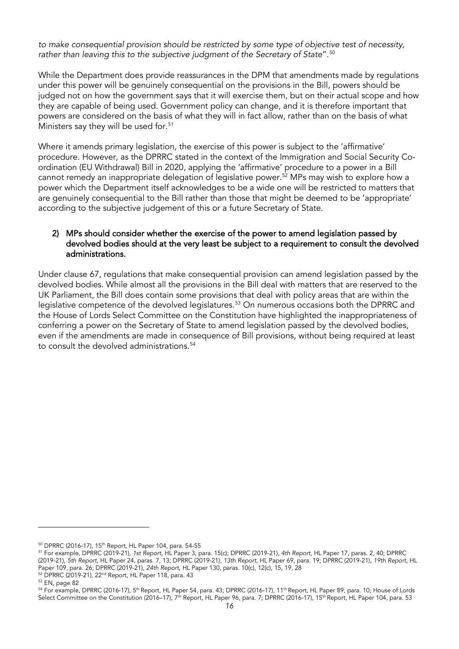*to make consequential provision should be restricted by some type of objective test of necessity, rather than leaving this to the subjective judgment of the Secretary of State*".[50](#page-16-0)

While the Department does provide reassurances in the DPM that amendments made by regulations under this power will be genuinely consequential on the provisions in the Bill, powers should be judged not on how the government says that it will exercise them, but on their actual scope and how they are capable of being used. Government policy can change, and it is therefore important that powers are considered on the basis of what they will in fact allow, rather than on the basis of what Ministers say they will be used for.<sup>[51](#page-16-1)</sup>

Where it amends primary legislation, the exercise of this power is subject to the 'affirmative' procedure. However, as the DPRRC stated in the context of the Immigration and Social Security Coordination (EU Withdrawal) Bill in 2020, applying the 'affirmative' procedure to a power in a Bill cannot remedy an inappropriate delegation of legislative power.[52](#page-16-2) MPs may wish to explore how a power which the Department itself acknowledges to be a wide one will be restricted to matters that are genuinely consequential to the Bill rather than those that might be deemed to be 'appropriate' according to the subjective judgement of this or a future Secretary of State.

#### 2) MPs should consider whether the exercise of the power to amend legislation passed by devolved bodies should at the very least be subject to a requirement to consult the devolved administrations.

Under clause 67, regulations that make consequential provision can amend legislation passed by the devolved bodies. While almost all the provisions in the Bill deal with matters that are reserved to the UK Parliament, the Bill does contain some provisions that deal with policy areas that are within the legislative competence of the devolved legislatures.<sup>[53](#page-16-3)</sup> On numerous occasions both the DPRRC and the House of Lords Select Committee on the Constitution have highlighted the inappropriateness of conferring a power on the Secretary of State to amend legislation passed by the devolved bodies, even if the amendments are made in consequence of Bill provisions, without being required at least to consult the devolved administrations.<sup>[54](#page-16-4)</sup>

<sup>&</sup>lt;sup>50</sup> DPRRC (2016-17), 15<sup>th</sup> Report, HL Paper 104, para. 54-55

<span id="page-16-1"></span><span id="page-16-0"></span><sup>51</sup> For example, DPRRC (2019-21), *1st Report*, HL Paper 3, para. 15(c); DPRRC (2019-21), *4th Report,* HL Paper 17, paras. 2, 40; DPRRC (2019-21), *5th Report*, HL Paper 24, paras. 7, 13; DPRRC (2019-21), *13th Report,* HL Paper 69, para. 19; DPRRC (2019-21), *19th Report,* HL Paper 109, para. 26; DPRRC (2019-21), *24th Report*, HL Paper 130, paras. 10(c), 12(c), 15, 19, 28<br><sup>52</sup> DPRRC (2019-21), 22<sup>nd</sup> Report, HL Paper 118, para. 43

<span id="page-16-2"></span><sup>53</sup> EN, page 82

<span id="page-16-4"></span><span id="page-16-3"></span><sup>54</sup> For example, DPRRC (2016-17), 5<sup>th</sup> Report, HL Paper 54, para. 43; DPRRC (2016-17), 11<sup>th</sup> Report, HL Paper 89, para. 10; House of Lords Select Committee on the Constitution (2016–17), 7<sup>th</sup> Report, HL Paper 96, para. 7; DPRRC (2016-17), 15<sup>th</sup> Report, HL Paper 104, para. 53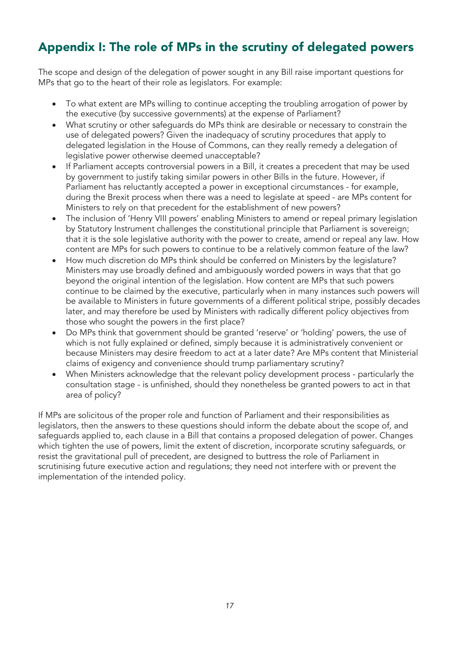# Appendix I: The role of MPs in the scrutiny of delegated powers

The scope and design of the delegation of power sought in any Bill raise important questions for MPs that go to the heart of their role as legislators. For example:

- To what extent are MPs willing to continue accepting the troubling arrogation of power by the executive (by successive governments) at the expense of Parliament?
- What scrutiny or other safeguards do MPs think are desirable or necessary to constrain the use of delegated powers? Given the inadequacy of scrutiny procedures that apply to delegated legislation in the House of Commons, can they really remedy a delegation of legislative power otherwise deemed unacceptable?
- If Parliament accepts controversial powers in a Bill, it creates a precedent that may be used by government to justify taking similar powers in other Bills in the future. However, if Parliament has reluctantly accepted a power in exceptional circumstances - for example, during the Brexit process when there was a need to legislate at speed - are MPs content for Ministers to rely on that precedent for the establishment of new powers?
- The inclusion of 'Henry VIII powers' enabling Ministers to amend or repeal primary legislation by Statutory Instrument challenges the constitutional principle that Parliament is sovereign; that it is the sole legislative authority with the power to create, amend or repeal any law. How content are MPs for such powers to continue to be a relatively common feature of the law?
- How much discretion do MPs think should be conferred on Ministers by the legislature? Ministers may use broadly defined and ambiguously worded powers in ways that that go beyond the original intention of the legislation. How content are MPs that such powers continue to be claimed by the executive, particularly when in many instances such powers will be available to Ministers in future governments of a different political stripe, possibly decades later, and may therefore be used by Ministers with radically different policy objectives from those who sought the powers in the first place?
- Do MPs think that government should be granted 'reserve' or 'holding' powers, the use of which is not fully explained or defined, simply because it is administratively convenient or because Ministers may desire freedom to act at a later date? Are MPs content that Ministerial claims of exigency and convenience should trump parliamentary scrutiny?
- When Ministers acknowledge that the relevant policy development process particularly the consultation stage - is unfinished, should they nonetheless be granted powers to act in that area of policy?

If MPs are solicitous of the proper role and function of Parliament and their responsibilities as legislators, then the answers to these questions should inform the debate about the scope of, and safeguards applied to, each clause in a Bill that contains a proposed delegation of power. Changes which tighten the use of powers, limit the extent of discretion, incorporate scrutiny safeguards, or resist the gravitational pull of precedent, are designed to buttress the role of Parliament in scrutinising future executive action and regulations; they need not interfere with or prevent the implementation of the intended policy.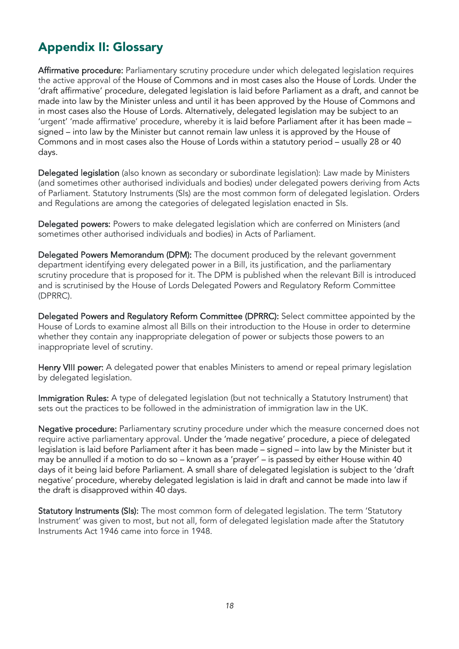# Appendix II: Glossary

Affirmative procedure: Parliamentary scrutiny procedure under which delegated legislation requires the active approval of the House of Commons and in most cases also the House of Lords. Under the 'draft affirmative' procedure, delegated legislation is laid before Parliament as a draft, and cannot be made into law by the Minister unless and until it has been approved by the House of Commons and in most cases also the House of Lords. Alternatively, delegated legislation may be subject to an 'urgent' 'made affirmative' procedure, whereby it is laid before Parliament after it has been made – signed – into law by the Minister but cannot remain law unless it is approved by the House of Commons and in most cases also the House of Lords within a statutory period – usually 28 or 40 days.

Delegated legislation (also known as secondary or subordinate legislation): Law made by Ministers (and sometimes other authorised individuals and bodies) under delegated powers deriving from Acts of Parliament. Statutory Instruments (SIs) are the most common form of delegated legislation. Orders and Regulations are among the categories of delegated legislation enacted in SIs.

Delegated powers: Powers to make delegated legislation which are conferred on Ministers (and sometimes other authorised individuals and bodies) in Acts of Parliament.

Delegated Powers Memorandum (DPM): The document produced by the relevant government department identifying every delegated power in a Bill, its justification, and the parliamentary scrutiny procedure that is proposed for it. The DPM is published when the relevant Bill is introduced and is scrutinised by the House of Lords Delegated Powers and Regulatory Reform Committee (DPRRC).

Delegated Powers and Regulatory Reform Committee (DPRRC): Select committee appointed by the House of Lords to examine almost all Bills on their introduction to the House in order to determine whether they contain any inappropriate delegation of power or subjects those powers to an inappropriate level of scrutiny.

Henry VIII power: A delegated power that enables Ministers to amend or repeal primary legislation by delegated legislation.

Immigration Rules: A type of delegated legislation (but not technically a Statutory Instrument) that sets out the practices to be followed in the administration of immigration law in the UK.

Negative procedure: Parliamentary scrutiny procedure under which the measure concerned does not require active parliamentary approval. Under the 'made negative' procedure, a piece of delegated legislation is laid before Parliament after it has been made – signed – into law by the Minister but it may be annulled if a motion to do so – known as a 'prayer' – is passed by either House within 40 days of it being laid before Parliament. A small share of delegated legislation is subject to the 'draft negative' procedure, whereby delegated legislation is laid in draft and cannot be made into law if the draft is disapproved within 40 days.

Statutory Instruments (SIs): The most common form of delegated legislation. The term 'Statutory Instrument' was given to most, but not all, form of delegated legislation made after the Statutory Instruments Act 1946 came into force in 1948.